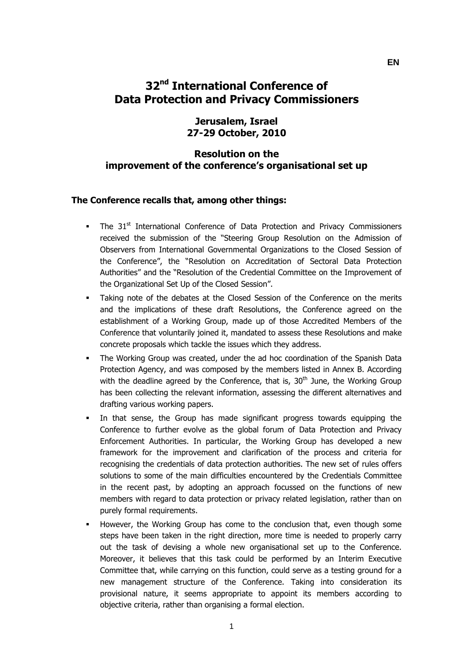# **32nd International Conference of Data Protection and Privacy Commissioners**

## **Jerusalem, Israel 27-29 October, 2010**

## **Resolution on the improvement of the conference's organisational set up**

#### **The Conference recalls that, among other things:**

- The 31<sup>st</sup> International Conference of Data Protection and Privacy Commissioners received the submission of the "Steering Group Resolution on the Admission of Observers from International Governmental Organizations to the Closed Session of the Conference", the "Resolution on Accreditation of Sectoral Data Protection Authorities" and the "Resolution of the Credential Committee on the Improvement of the Organizational Set Up of the Closed Session".
- Taking note of the debates at the Closed Session of the Conference on the merits and the implications of these draft Resolutions, the Conference agreed on the establishment of a Working Group, made up of those Accredited Members of the Conference that voluntarily joined it, mandated to assess these Resolutions and make concrete proposals which tackle the issues which they address.
- The Working Group was created, under the ad hoc coordination of the Spanish Data Protection Agency, and was composed by the members listed in Annex B. According with the deadline agreed by the Conference, that is,  $30<sup>th</sup>$  June, the Working Group has been collecting the relevant information, assessing the different alternatives and drafting various working papers.
- In that sense, the Group has made significant progress towards equipping the Conference to further evolve as the global forum of Data Protection and Privacy Enforcement Authorities. In particular, the Working Group has developed a new framework for the improvement and clarification of the process and criteria for recognising the credentials of data protection authorities. The new set of rules offers solutions to some of the main difficulties encountered by the Credentials Committee in the recent past, by adopting an approach focussed on the functions of new members with regard to data protection or privacy related legislation, rather than on purely formal requirements.
- However, the Working Group has come to the conclusion that, even though some steps have been taken in the right direction, more time is needed to properly carry out the task of devising a whole new organisational set up to the Conference. Moreover, it believes that this task could be performed by an Interim Executive Committee that, while carrying on this function, could serve as a testing ground for a new management structure of the Conference. Taking into consideration its provisional nature, it seems appropriate to appoint its members according to objective criteria, rather than organising a formal election.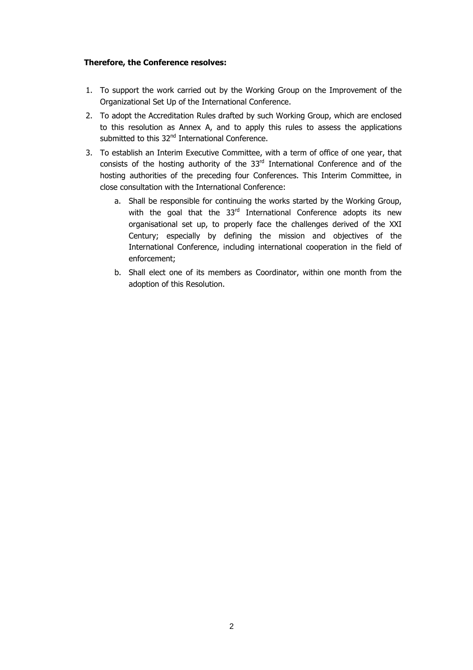#### **Therefore, the Conference resolves:**

- 1. To support the work carried out by the Working Group on the Improvement of the Organizational Set Up of the International Conference.
- 2. To adopt the Accreditation Rules drafted by such Working Group, which are enclosed to this resolution as Annex A, and to apply this rules to assess the applications submitted to this 32<sup>nd</sup> International Conference.
- 3. To establish an Interim Executive Committee, with a term of office of one year, that consists of the hosting authority of the  $33<sup>rd</sup>$  International Conference and of the hosting authorities of the preceding four Conferences. This Interim Committee, in close consultation with the International Conference:
	- a. Shall be responsible for continuing the works started by the Working Group, with the goal that the 33<sup>rd</sup> International Conference adopts its new organisational set up, to properly face the challenges derived of the XXI Century; especially by defining the mission and objectives of the International Conference, including international cooperation in the field of enforcement;
	- b. Shall elect one of its members as Coordinator, within one month from the adoption of this Resolution.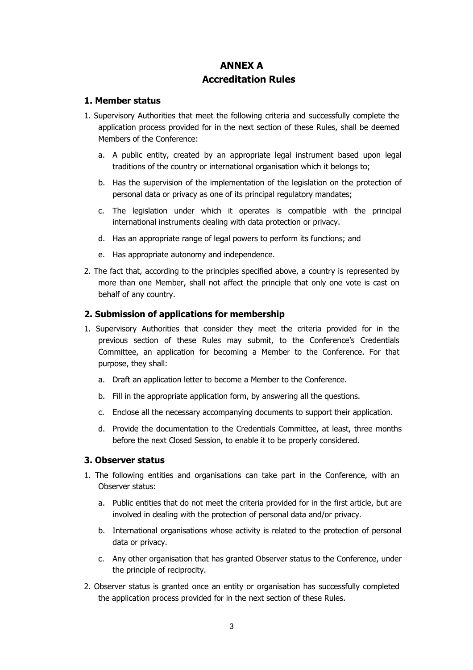# **ANNEX A Accreditation Rules**

### **1. Member status**

- 1. Supervisory Authorities that meet the following criteria and successfully complete the application process provided for in the next section of these Rules, shall be deemed Members of the Conference:
	- a. A public entity, created by an appropriate legal instrument based upon legal traditions of the country or international organisation which it belongs to;
	- b. Has the supervision of the implementation of the legislation on the protection of personal data or privacy as one of its principal regulatory mandates;
	- c. The legislation under which it operates is compatible with the principal international instruments dealing with data protection or privacy.
	- d. Has an appropriate range of legal powers to perform its functions; and
	- e. Has appropriate autonomy and independence.
- 2. The fact that, according to the principles specified above, a country is represented by more than one Member, shall not affect the principle that only one vote is cast on behalf of any country.

#### **2. Submission of applications for membership**

- 1. Supervisory Authorities that consider they meet the criteria provided for in the previous section of these Rules may submit, to the Conference's Credentials Committee, an application for becoming a Member to the Conference. For that purpose, they shall:
	- a. Draft an application letter to become a Member to the Conference.
	- b. Fill in the appropriate application form, by answering all the questions.
	- c. Enclose all the necessary accompanying documents to support their application.
	- d. Provide the documentation to the Credentials Committee, at least, three months before the next Closed Session, to enable it to be properly considered.

#### **3. Observer status**

- 1. The following entities and organisations can take part in the Conference, with an Observer status:
	- a. Public entities that do not meet the criteria provided for in the first article, but are involved in dealing with the protection of personal data and/or privacy.
	- b. International organisations whose activity is related to the protection of personal data or privacy.
	- c. Any other organisation that has granted Observer status to the Conference, under the principle of reciprocity.
- 2. Observer status is granted once an entity or organisation has successfully completed the application process provided for in the next section of these Rules.